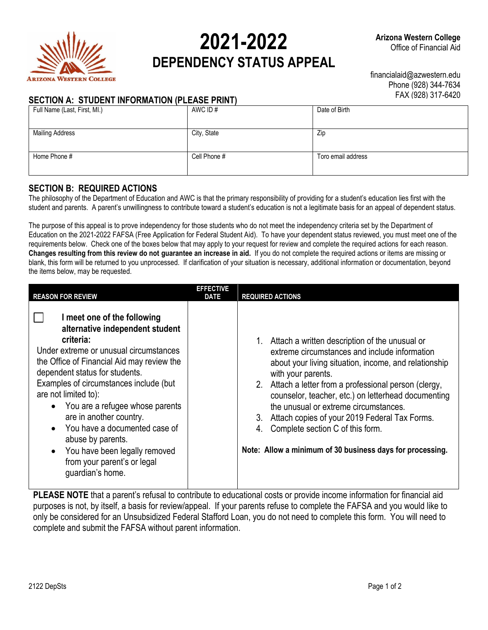

# **2021-2022 DEPENDENCY STATUS APPEAL**

# **SECTION A: STUDENT INFORMATION (PLEASE PRINT)**

financialaid@azwestern.edu Phone (928) 344-7634 FAX (928) 317-6420

| Full Name (Last, First, MI.) | AWC ID#      | Date of Birth      |
|------------------------------|--------------|--------------------|
|                              |              |                    |
| <b>Mailing Address</b>       | City, State  | Zip                |
|                              |              |                    |
| Home Phone #                 | Cell Phone # | Toro email address |
|                              |              |                    |

#### **SECTION B: REQUIRED ACTIONS**

The philosophy of the Department of Education and AWC is that the primary responsibility of providing for a student's education lies first with the student and parents. A parent's unwillingness to contribute toward a student's education is not a legitimate basis for an appeal of dependent status.

The purpose of this appeal is to prove independency for those students who do not meet the independency criteria set by the Department of Education on the 2021-2022 FAFSA (Free Application for Federal Student Aid). To have your dependent status reviewed, you must meet one of the requirements below. Check one of the boxes below that may apply to your request for review and complete the required actions for each reason. **Changes resulting from this review do not guarantee an increase in aid.** If you do not complete the required actions or items are missing or blank, this form will be returned to you unprocessed. If clarification of your situation is necessary, additional information or documentation, beyond the items below, may be requested.

| <b>REASON FOR REVIEW</b>                                                                                                                                                                                                                                                                                                                                                                                                                                                        | <b>EFFECTIVE</b><br><b>DATE</b> | <b>REQUIRED ACTIONS</b>                                                                                                                                                                                                                                                                                                                                                                                                                                                                                   |
|---------------------------------------------------------------------------------------------------------------------------------------------------------------------------------------------------------------------------------------------------------------------------------------------------------------------------------------------------------------------------------------------------------------------------------------------------------------------------------|---------------------------------|-----------------------------------------------------------------------------------------------------------------------------------------------------------------------------------------------------------------------------------------------------------------------------------------------------------------------------------------------------------------------------------------------------------------------------------------------------------------------------------------------------------|
| I meet one of the following<br>alternative independent student<br>criteria:<br>Under extreme or unusual circumstances<br>the Office of Financial Aid may review the<br>dependent status for students.<br>Examples of circumstances include (but<br>are not limited to):<br>You are a refugee whose parents<br>are in another country.<br>You have a documented case of<br>abuse by parents.<br>You have been legally removed<br>from your parent's or legal<br>guardian's home. |                                 | 1. Attach a written description of the unusual or<br>extreme circumstances and include information<br>about your living situation, income, and relationship<br>with your parents.<br>2. Attach a letter from a professional person (clergy,<br>counselor, teacher, etc.) on letterhead documenting<br>the unusual or extreme circumstances.<br>Attach copies of your 2019 Federal Tax Forms.<br>3.<br>Complete section C of this form.<br>4.<br>Note: Allow a minimum of 30 business days for processing. |

**PLEASE NOTE** that a parent's refusal to contribute to educational costs or provide income information for financial aid purposes is not, by itself, a basis for review/appeal. If your parents refuse to complete the FAFSA and you would like to only be considered for an Unsubsidized Federal Stafford Loan, you do not need to complete this form. You will need to complete and submit the FAFSA without parent information.